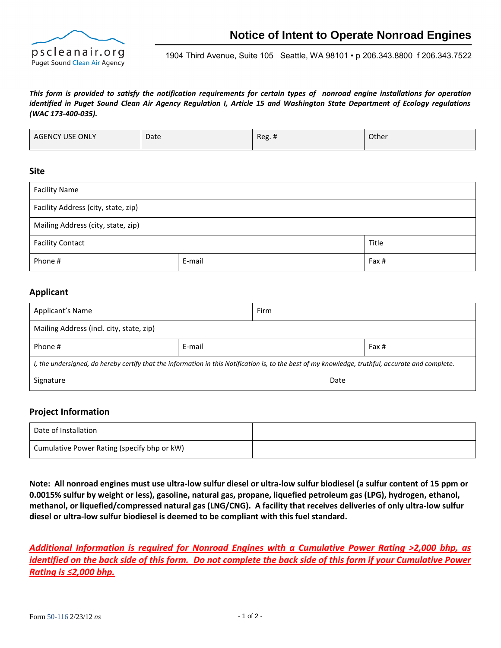

 1904 Third Avenue, Suite 105 Seattle, WA 98101 • p 206.343.8800 f 206.343.7522

#### *This form is provided to satisfy the notification requirements for certain types of nonroad engine installations for operation identified in Puget Sound Clean Air Agency Regulation I, Article 15 and Washington State Department of Ecology regulations (WAC 173-400-035).*

| <b>AGENCY USE ONLY</b> | Date | $\mathbf{u}$<br>Rec. | Other |
|------------------------|------|----------------------|-------|
|------------------------|------|----------------------|-------|

#### **Site**

| <b>Facility Name</b>                |        |       |  |  |
|-------------------------------------|--------|-------|--|--|
| Facility Address (city, state, zip) |        |       |  |  |
| Mailing Address (city, state, zip)  |        |       |  |  |
| <b>Facility Contact</b>             |        | Title |  |  |
| Phone #                             | E-mail | Fax # |  |  |

### **Applicant**

| Applicant's Name                                                                                                                                  |        | Firm |       |  |
|---------------------------------------------------------------------------------------------------------------------------------------------------|--------|------|-------|--|
| Mailing Address (incl. city, state, zip)                                                                                                          |        |      |       |  |
| Phone #                                                                                                                                           | E-mail |      | Fax # |  |
| I, the undersigned, do hereby certify that the information in this Notification is, to the best of my knowledge, truthful, accurate and complete. |        |      |       |  |
| Signature                                                                                                                                         |        | Date |       |  |

### **Project Information**

| Date of Installation                        |  |
|---------------------------------------------|--|
| Cumulative Power Rating (specify bhp or kW) |  |

**Note: All nonroad engines must use ultra-low sulfur diesel or ultra-low sulfur biodiesel (a sulfur content of 15 ppm or 0.0015% sulfur by weight or less), gasoline, natural gas, propane, liquefied petroleum gas (LPG), hydrogen, ethanol, methanol, or liquefied/compressed natural gas (LNG/CNG). A facility that receives deliveries of only ultra-low sulfur diesel or ultra-low sulfur biodiesel is deemed to be compliant with this fuel standard.**

*Additional Information is required for Nonroad Engines with a Cumulative Power Rating >2,000 bhp, as identified on the back side of this form. Do not complete the back side of this form if your Cumulative Power Rating is ≤2,000 bhp.*